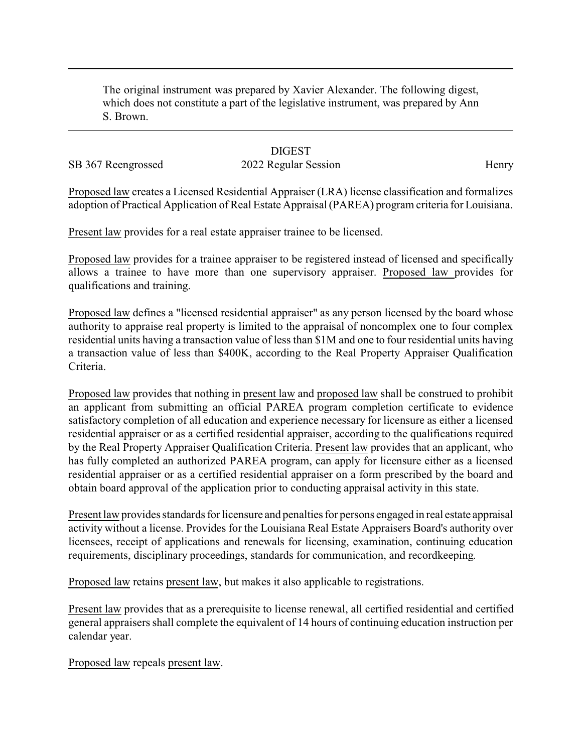The original instrument was prepared by Xavier Alexander. The following digest, which does not constitute a part of the legislative instrument, was prepared by Ann S. Brown.

#### **DIGEST**

# SB 367 Reengrossed 2022 Regular Session Henry

Proposed law creates a Licensed Residential Appraiser (LRA) license classification and formalizes adoption of Practical Application of Real Estate Appraisal (PAREA) program criteria for Louisiana.

Present law provides for a real estate appraiser trainee to be licensed.

Proposed law provides for a trainee appraiser to be registered instead of licensed and specifically allows a trainee to have more than one supervisory appraiser. Proposed law provides for qualifications and training.

Proposed law defines a "licensed residential appraiser" as any person licensed by the board whose authority to appraise real property is limited to the appraisal of noncomplex one to four complex residential units having a transaction value of less than \$1M and one to four residential units having a transaction value of less than \$400K, according to the Real Property Appraiser Qualification Criteria.

Proposed law provides that nothing in present law and proposed law shall be construed to prohibit an applicant from submitting an official PAREA program completion certificate to evidence satisfactory completion of all education and experience necessary for licensure as either a licensed residential appraiser or as a certified residential appraiser, according to the qualifications required by the Real Property Appraiser Qualification Criteria. Present law provides that an applicant, who has fully completed an authorized PAREA program, can apply for licensure either as a licensed residential appraiser or as a certified residential appraiser on a form prescribed by the board and obtain board approval of the application prior to conducting appraisal activity in this state.

Present law provides standards for licensure and penalties for persons engaged in real estate appraisal activity without a license. Provides for the Louisiana Real Estate Appraisers Board's authority over licensees, receipt of applications and renewals for licensing, examination, continuing education requirements, disciplinary proceedings, standards for communication, and recordkeeping.

Proposed law retains present law, but makes it also applicable to registrations.

Present law provides that as a prerequisite to license renewal, all certified residential and certified general appraisers shall complete the equivalent of 14 hours of continuing education instruction per calendar year.

Proposed law repeals present law.